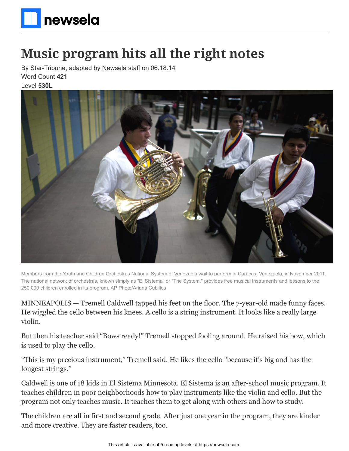

## **Music program hits all the right notes**

By Star-Tribune, adapted by Newsela staff on 06.18.14 Word Count **421** Level **530L**



Members from the Youth and Children Orchestras National System of Venezuela wait to perform in Caracas, Venezuela, in November 2011. The national network of orchestras, known simply as "El Sistema" or "The System," provides free musical instruments and lessons to the 250,000 children enrolled in its program. AP Photo/Ariana Cubillos

MINNEAPOLIS — Tremell Caldwell tapped his feet on the floor. The 7-year-old made funny faces. He wiggled the cello between his knees. A cello is a string instrument. It looks like a really large violin.

But then his teacher said "Bows ready!" Tremell stopped fooling around. He raised his bow, which is used to play the cello.

"This is my precious instrument," Tremell said. He likes the cello "because it's big and has the longest strings."

Caldwell is one of 18 kids in El Sistema Minnesota. El Sistema is an after-school music program. It teaches children in poor neighborhoods how to play instruments like the violin and cello. But the program not only teaches music. It teaches them to get along with others and how to study.

The children are all in first and second grade. After just one year in the program, they are kinder and more creative. They are faster readers, too.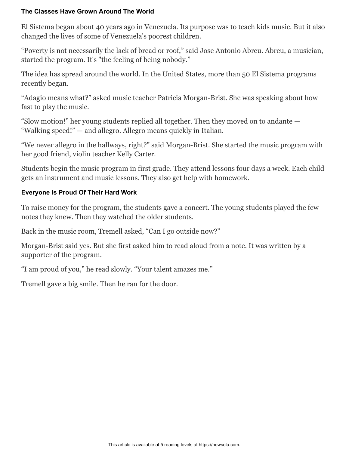## **The Classes Have Grown Around The World**

El Sistema began about 40 years ago in Venezuela. Its purpose was to teach kids music. But it also changed the lives of some of Venezuela's poorest children.

"Poverty is not necessarily the lack of bread or roof," said Jose Antonio Abreu. Abreu, a musician, started the program. It's "the feeling of being nobody."

The idea has spread around the world. In the United States, more than 50 El Sistema programs recently began.

"Adagio means what?" asked music teacher Patricia Morgan-Brist. She was speaking about how fast to play the music.

"Slow motion!" her young students replied all together. Then they moved on to andante — "Walking speed!" — and allegro. Allegro means quickly in Italian.

"We never allegro in the hallways, right?" said Morgan-Brist. She started the music program with her good friend, violin teacher Kelly Carter.

Students begin the music program in first grade. They attend lessons four days a week. Each child gets an instrument and music lessons. They also get help with homework.

## **Everyone Is Proud Of Their Hard Work**

To raise money for the program, the students gave a concert. The young students played the few notes they knew. Then they watched the older students.

Back in the music room, Tremell asked, "Can I go outside now?"

Morgan-Brist said yes. But she first asked him to read aloud from a note. It was written by a supporter of the program.

"I am proud of you," he read slowly. "Your talent amazes me."

Tremell gave a big smile. Then he ran for the door.